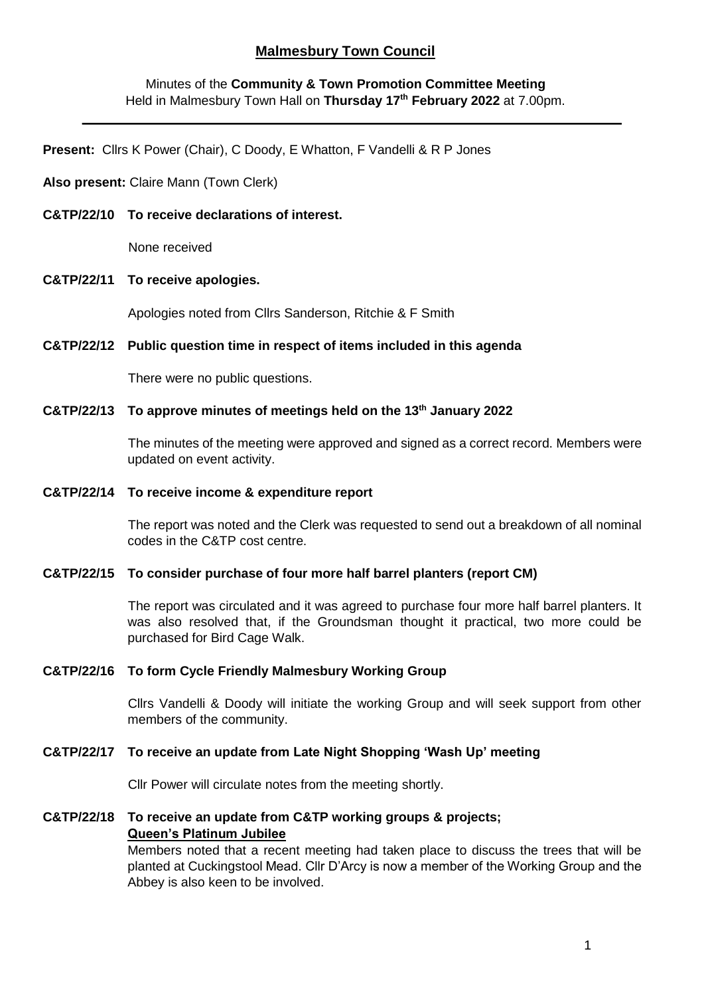# **Malmesbury Town Council**

# Minutes of the **Community & Town Promotion Committee Meeting** Held in Malmesbury Town Hall on **Thursday 17th February 2022** at 7.00pm.

**Present:** Cllrs K Power (Chair), C Doody, E Whatton, F Vandelli & R P Jones

### **Also present:** Claire Mann (Town Clerk)

#### **C&TP/22/10 To receive declarations of interest.**

None received

#### **C&TP/22/11 To receive apologies.**

Apologies noted from Cllrs Sanderson, Ritchie & F Smith

### **C&TP/22/12 Public question time in respect of items included in this agenda**

There were no public questions.

### **C&TP/22/13 To approve minutes of meetings held on the 13th January 2022**

The minutes of the meeting were approved and signed as a correct record. Members were updated on event activity.

#### **C&TP/22/14 To receive income & expenditure report**

The report was noted and the Clerk was requested to send out a breakdown of all nominal codes in the C&TP cost centre.

#### **C&TP/22/15 To consider purchase of four more half barrel planters (report CM)**

The report was circulated and it was agreed to purchase four more half barrel planters. It was also resolved that, if the Groundsman thought it practical, two more could be purchased for Bird Cage Walk.

### **C&TP/22/16 To form Cycle Friendly Malmesbury Working Group**

Cllrs Vandelli & Doody will initiate the working Group and will seek support from other members of the community.

### **C&TP/22/17 To receive an update from Late Night Shopping 'Wash Up' meeting**

Cllr Power will circulate notes from the meeting shortly.

# **C&TP/22/18 To receive an update from C&TP working groups & projects; Queen's Platinum Jubilee**

Members noted that a recent meeting had taken place to discuss the trees that will be planted at Cuckingstool Mead. Cllr D'Arcy is now a member of the Working Group and the Abbey is also keen to be involved.